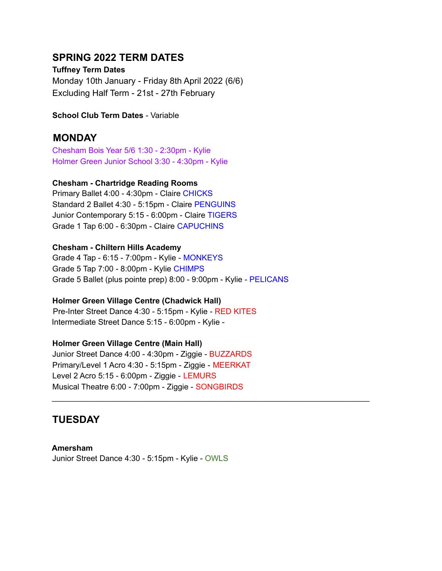# **SPRING 2022 TERM DATES**

**Tuffney Term Dates** Monday 10th January - Friday 8th April 2022 (6/6) Excluding Half Term - 21st - 27th February

**School Club Term Dates** - Variable

# **MONDAY**

Chesham Bois Year 5/6 1:30 - 2:30pm - Kylie Holmer Green Junior School 3:30 - 4:30pm - Kylie

### **Chesham - Chartridge Reading Rooms**

Primary Ballet 4:00 - 4:30pm - Claire CHICKS Standard 2 Ballet 4:30 - 5:15pm - Claire PENGUINS Junior Contemporary 5:15 - 6:00pm - Claire TIGERS Grade 1 Tap 6:00 - 6:30pm - Claire CAPUCHINS

### **Chesham - Chiltern Hills Academy**

Grade 4 Tap - 6:15 - 7:00pm - Kylie - MONKEYS Grade 5 Tap 7:00 - 8:00pm - Kylie CHIMPS Grade 5 Ballet (plus pointe prep) 8:00 - 9:00pm - Kylie - PELICANS

### **Holmer Green Village Centre (Chadwick Hall)**

Pre-Inter Street Dance 4:30 - 5:15pm - Kylie - RED KITES Intermediate Street Dance 5:15 - 6:00pm - Kylie -

## **Holmer Green Village Centre (Main Hall)**

Junior Street Dance 4:00 - 4:30pm - Ziggie - BUZZARDS Primary/Level 1 Acro 4:30 - 5:15pm - Ziggie - MEERKAT Level 2 Acro 5:15 - 6:00pm - Ziggie - LEMURS Musical Theatre 6:00 - 7:00pm - Ziggie - SONGBIRDS

\_\_\_\_\_\_\_\_\_\_\_\_\_\_\_\_\_\_\_\_\_\_\_\_\_\_\_\_\_\_\_\_\_\_\_\_\_\_\_\_\_\_\_\_\_\_\_\_\_\_\_\_\_\_\_\_\_\_\_\_\_\_\_\_\_\_\_\_\_\_\_\_

# **TUESDAY**

**Amersham** Junior Street Dance 4:30 - 5:15pm - Kylie - OWLS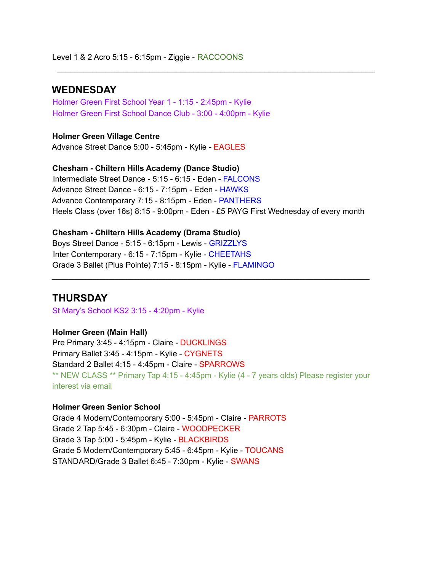## **WEDNESDAY**

Holmer Green First School Year 1 - 1:15 - 2:45pm - Kylie Holmer Green First School Dance Club - 3:00 - 4:00pm - Kylie

**Holmer Green Village Centre** Advance Street Dance 5:00 - 5:45pm - Kylie - EAGLES

**Chesham - Chiltern Hills Academy (Dance Studio)** Intermediate Street Dance - 5:15 - 6:15 - Eden - FALCONS Advance Street Dance - 6:15 - 7:15pm - Eden - HAWKS Advance Contemporary 7:15 - 8:15pm - Eden - PANTHERS Heels Class (over 16s) 8:15 - 9:00pm - Eden - £5 PAYG First Wednesday of every month

\_\_\_\_\_\_\_\_\_\_\_\_\_\_\_\_\_\_\_\_\_\_\_\_\_\_\_\_\_\_\_\_\_\_\_\_\_\_\_\_\_\_\_\_\_\_\_\_\_\_\_\_\_\_\_\_\_\_\_\_\_\_\_\_\_\_\_\_\_\_\_\_

**Chesham - Chiltern Hills Academy (Drama Studio)** Boys Street Dance - 5:15 - 6:15pm - Lewis - GRIZZLYS Inter Contemporary - 6:15 - 7:15pm - Kylie - CHEETAHS Grade 3 Ballet (Plus Pointe) 7:15 - 8:15pm - Kylie - FLAMINGO

## **THURSDAY**

St Mary's School KS2 3:15 - 4:20pm - Kylie

#### **Holmer Green (Main Hall)**

Pre Primary 3:45 - 4:15pm - Claire - DUCKLINGS Primary Ballet 3:45 - 4:15pm - Kylie - CYGNETS Standard 2 Ballet 4:15 - 4:45pm - Claire - SPARROWS \*\* NEW CLASS \*\* Primary Tap 4:15 - 4:45pm - Kylie (4 - 7 years olds) Please register your interest via email

\_\_\_\_\_\_\_\_\_\_\_\_\_\_\_\_\_\_\_\_\_\_\_\_\_\_\_\_\_\_\_\_\_\_\_\_\_\_\_\_\_\_\_\_\_\_\_\_\_\_\_\_\_\_\_\_\_\_\_\_\_\_\_\_\_\_\_\_\_\_\_\_

#### **Holmer Green Senior School**

Grade 4 Modern/Contemporary 5:00 - 5:45pm - Claire - PARROTS Grade 2 Tap 5:45 - 6:30pm - Claire - WOODPECKER Grade 3 Tap 5:00 - 5:45pm - Kylie - BLACKBIRDS Grade 5 Modern/Contemporary 5:45 - 6:45pm - Kylie - TOUCANS STANDARD/Grade 3 Ballet 6:45 - 7:30pm - Kylie - SWANS